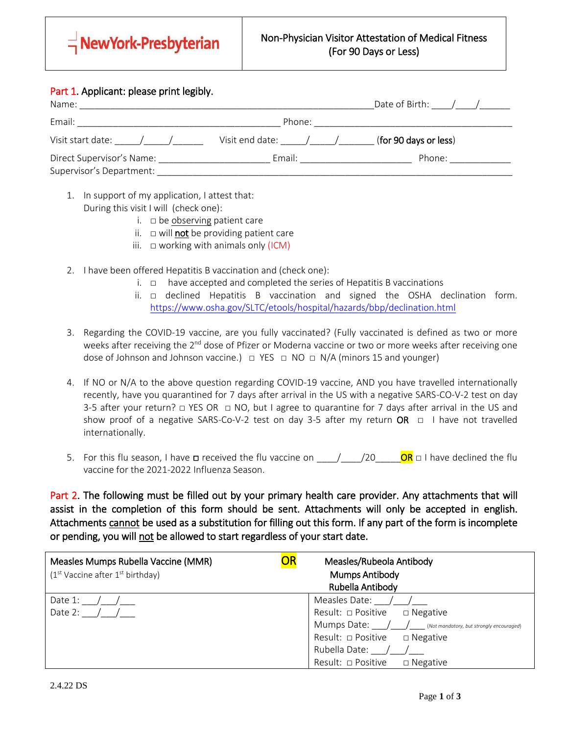

## Part 1. Applicant: please print legibly.

| Name:                                                 |                 | Date of Birth: $\frac{1}{\sqrt{2}}$ |
|-------------------------------------------------------|-----------------|-------------------------------------|
| Email:                                                | Phone:          |                                     |
| Visit start date:                                     | Visit end date: | (for 90 days or less)               |
| Direct Supervisor's Name:<br>Supervisor's Department: | Email:          | Phone:                              |

- 1. In support of my application, I attest that: During this visit I will (check one):
	- i.  $\square$  be observing patient care
	- ii.  $\Box$  will **not** be providing patient care

- iii.  $\Box$  working with animals only (ICM)
- 2. I have been offered Hepatitis B vaccination and (check one):
	- i.  $\Box$  have accepted and completed the series of Hepatitis B vaccinations
	- ii. □ declined Hepatitis B vaccination and signed the OSHA declination form. <https://www.osha.gov/SLTC/etools/hospital/hazards/bbp/declination.html>
- 3. Regarding the COVID-19 vaccine, are you fully vaccinated? (Fully vaccinated is defined as two or more weeks after receiving the 2<sup>nd</sup> dose of Pfizer or Moderna vaccine or two or more weeks after receiving one dose of Johnson and Johnson vaccine.)  $\Box$  YES  $\Box$  NO  $\Box$  N/A (minors 15 and younger)
- 4. If NO or N/A to the above question regarding COVID-19 vaccine, AND you have travelled internationally recently, have you quarantined for 7 days after arrival in the US with a negative SARS-CO-V-2 test on day 3-5 after your return?  $\Box$  YES OR  $\Box$  NO, but I agree to quarantine for 7 days after arrival in the US and show proof of a negative SARS-Co-V-2 test on day 3-5 after my return OR  $\Box$  I have not travelled internationally.
- 5. For this flu season, I have □ received the flu vaccine on \_\_\_\_/\_\_\_\_/20\_\_\_\_\_OR □ I have declined the flu vaccine for the 2021-2022 Influenza Season.

Part 2. The following must be filled out by your primary health care provider. Any attachments that will assist in the completion of this form should be sent. Attachments will only be accepted in english. Attachments cannot be used as a substitution for filling out this form. If any part of the form is incomplete or pending, you will not be allowed to start regardless of your start date.

| Measles Mumps Rubella Vaccine (MMR)  | OR<br>Measles/Rubeola Antibody                           |  |  |
|--------------------------------------|----------------------------------------------------------|--|--|
| $(1st$ Vaccine after $1st$ birthday) | <b>Mumps Antibody</b>                                    |  |  |
|                                      | Rubella Antibody                                         |  |  |
| Date 1:                              | Measles Date:                                            |  |  |
| Date 2:                              | Result: □ Positive<br>$\Box$ Negative                    |  |  |
|                                      | Mumps Date: / / (Not mandatory, but strongly encouraged) |  |  |
|                                      | Result: □ Positive<br>$\Box$ Negative                    |  |  |
|                                      | Rubella Date:                                            |  |  |
|                                      | Result: □ Positive<br>$\Box$ Negative                    |  |  |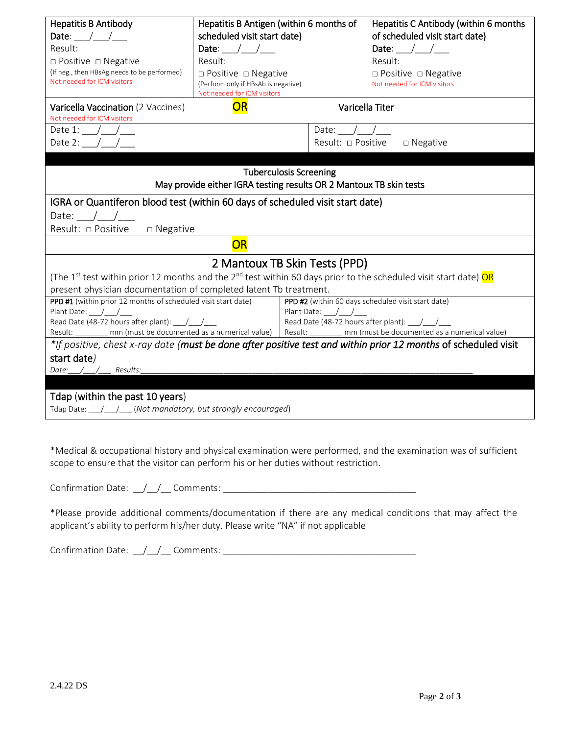| <b>Hepatitis B Antibody</b>                                                                                                                     | Hepatitis B Antigen (within 6 months of                                                                                                                                 |                                          | Hepatitis C Antibody (within 6 months         |  |
|-------------------------------------------------------------------------------------------------------------------------------------------------|-------------------------------------------------------------------------------------------------------------------------------------------------------------------------|------------------------------------------|-----------------------------------------------|--|
| Date: $\frac{1}{\sqrt{1-\frac{1}{2}}}$<br>Result:                                                                                               | scheduled visit start date)<br>Date: $/$ /                                                                                                                              |                                          | of scheduled visit start date)<br>Date: $/$ / |  |
| $\Box$ Positive $\Box$ Negative                                                                                                                 | Result:                                                                                                                                                                 |                                          | Result:                                       |  |
| (If neg., then HBsAg needs to be performed)                                                                                                     |                                                                                                                                                                         |                                          |                                               |  |
| Not needed for ICM visitors                                                                                                                     | $\Box$ Positive $\Box$ Negative<br>$\Box$ Positive $\Box$ Negative<br>(Perform only if HBsAb is negative)<br>Not needed for ICM visitors<br>Not needed for ICM visitors |                                          |                                               |  |
| Varicella Vaccination (2 Vaccines)<br>Not needed for ICM visitors                                                                               | <b>OR</b>                                                                                                                                                               |                                          | Varicella Titer                               |  |
| Date 1: $/$ /                                                                                                                                   |                                                                                                                                                                         | Date: $/$ /                              |                                               |  |
| Date 2: $/$ /                                                                                                                                   |                                                                                                                                                                         | Result: □ Positive                       | $\Box$ Negative                               |  |
|                                                                                                                                                 |                                                                                                                                                                         |                                          |                                               |  |
|                                                                                                                                                 |                                                                                                                                                                         | <b>Tuberculosis Screening</b>            |                                               |  |
|                                                                                                                                                 | May provide either IGRA testing results OR 2 Mantoux TB skin tests                                                                                                      |                                          |                                               |  |
| IGRA or Quantiferon blood test (within 60 days of scheduled visit start date)                                                                   |                                                                                                                                                                         |                                          |                                               |  |
| Date: $\angle$ / $\angle$                                                                                                                       |                                                                                                                                                                         |                                          |                                               |  |
| Result: □ Positive<br>$\Box$ Negative                                                                                                           |                                                                                                                                                                         |                                          |                                               |  |
|                                                                                                                                                 | OR                                                                                                                                                                      |                                          |                                               |  |
|                                                                                                                                                 |                                                                                                                                                                         | 2 Mantoux TB Skin Tests (PPD)            |                                               |  |
| (The 1 <sup>st</sup> test within prior 12 months and the 2 <sup>nd</sup> test within 60 days prior to the scheduled visit start date) <b>OR</b> |                                                                                                                                                                         |                                          |                                               |  |
| present physician documentation of completed latent Tb treatment.                                                                               |                                                                                                                                                                         |                                          |                                               |  |
| PPD #1 (within prior 12 months of scheduled visit start date)                                                                                   | PPD #2 (within 60 days scheduled visit start date)                                                                                                                      |                                          |                                               |  |
| Plant Date: $\frac{1}{\sqrt{1-\frac{1}{2}}}$<br>Read Date (48-72 hours after plant): / /                                                        |                                                                                                                                                                         | Read Date (48-72 hours after plant): / / |                                               |  |
| Result: ________ mm (must be documented as a numerical value)<br>mm (must be documented as a numerical value)  <br>Result: ________             |                                                                                                                                                                         |                                          |                                               |  |
| *If positive, chest x-ray date (must be done after positive test and within prior 12 months of scheduled visit                                  |                                                                                                                                                                         |                                          |                                               |  |
| start date)                                                                                                                                     |                                                                                                                                                                         |                                          |                                               |  |
| Date: /<br>Results:                                                                                                                             |                                                                                                                                                                         |                                          |                                               |  |
|                                                                                                                                                 |                                                                                                                                                                         |                                          |                                               |  |
| Tdap (within the past 10 years)                                                                                                                 |                                                                                                                                                                         |                                          |                                               |  |
| Tdap Date: / / (Not mandatory, but strongly encouraged)                                                                                         |                                                                                                                                                                         |                                          |                                               |  |

\*Medical & occupational history and physical examination were performed, and the examination was of sufficient scope to ensure that the visitor can perform his or her duties without restriction.

| $\sim$<br>$rm \gamma + \gamma$<br>11 I A I<br>101<br>. |  |  |
|--------------------------------------------------------|--|--|
|--------------------------------------------------------|--|--|

\*Please provide additional comments/documentation if there are any medical conditions that may affect the applicant's ability to perform his/her duty. Please write "NA" if not applicable

Confirmation Date: \_\_/\_\_/\_\_ Comments: \_\_\_\_\_\_\_\_\_\_\_\_\_\_\_\_\_\_\_\_\_\_\_\_\_\_\_\_\_\_\_\_\_\_\_\_\_\_